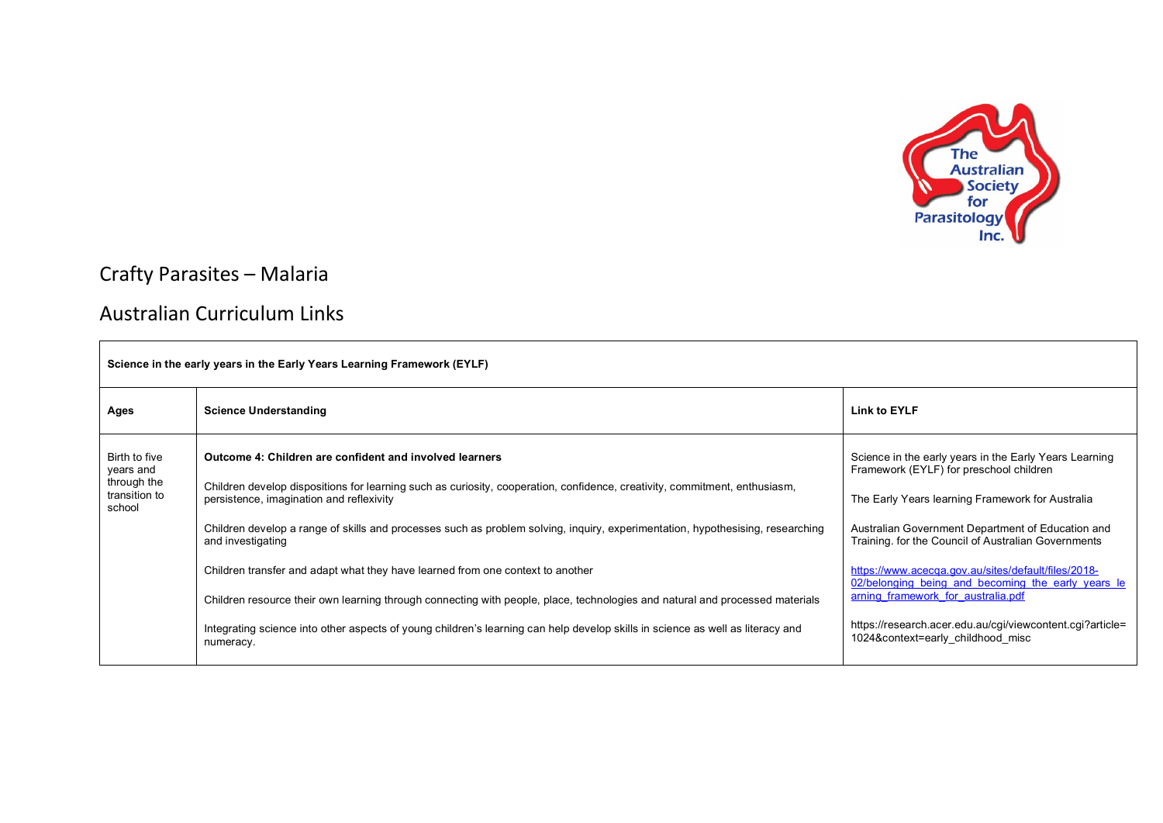

## Crafty Parasites – Malaria

## Australian Curriculum Links

| Science in the early years in the Early Years Learning Framework (EYLF) |                                                                                                                                                                                                                                                                                                                                                                                                                                                                                                                                                                                                                                                                                                                                                           |                                                                                                                                                                                                                                                                                                                                                                                                                                                                                                                        |
|-------------------------------------------------------------------------|-----------------------------------------------------------------------------------------------------------------------------------------------------------------------------------------------------------------------------------------------------------------------------------------------------------------------------------------------------------------------------------------------------------------------------------------------------------------------------------------------------------------------------------------------------------------------------------------------------------------------------------------------------------------------------------------------------------------------------------------------------------|------------------------------------------------------------------------------------------------------------------------------------------------------------------------------------------------------------------------------------------------------------------------------------------------------------------------------------------------------------------------------------------------------------------------------------------------------------------------------------------------------------------------|
| Ages                                                                    | <b>Science Understanding</b>                                                                                                                                                                                                                                                                                                                                                                                                                                                                                                                                                                                                                                                                                                                              | <b>Link to EYLF</b>                                                                                                                                                                                                                                                                                                                                                                                                                                                                                                    |
| Birth to five<br>years and<br>through the<br>transition to<br>school    | Outcome 4: Children are confident and involved learners<br>Children develop dispositions for learning such as curiosity, cooperation, confidence, creativity, commitment, enthusiasm,<br>persistence, imagination and reflexivity<br>Children develop a range of skills and processes such as problem solving, inquiry, experimentation, hypothesising, researching<br>and investigating<br>Children transfer and adapt what they have learned from one context to another<br>Children resource their own learning through connecting with people, place, technologies and natural and processed materials<br>Integrating science into other aspects of young children's learning can help develop skills in science as well as literacy and<br>numeracy. | Science in the early years in the Early Years Learning<br>Framework (EYLF) for preschool children<br>The Early Years learning Framework for Australia<br>Australian Government Department of Education and<br>Training. for the Council of Australian Governments<br>https://www.acecqa.gov.au/sites/default/files/2018-<br>02/belonging being and becoming the early years le<br>arning framework for australia.pdf<br>https://research.acer.edu.au/cgi/viewcontent.cgi?article=<br>1024&context=early childhood misc |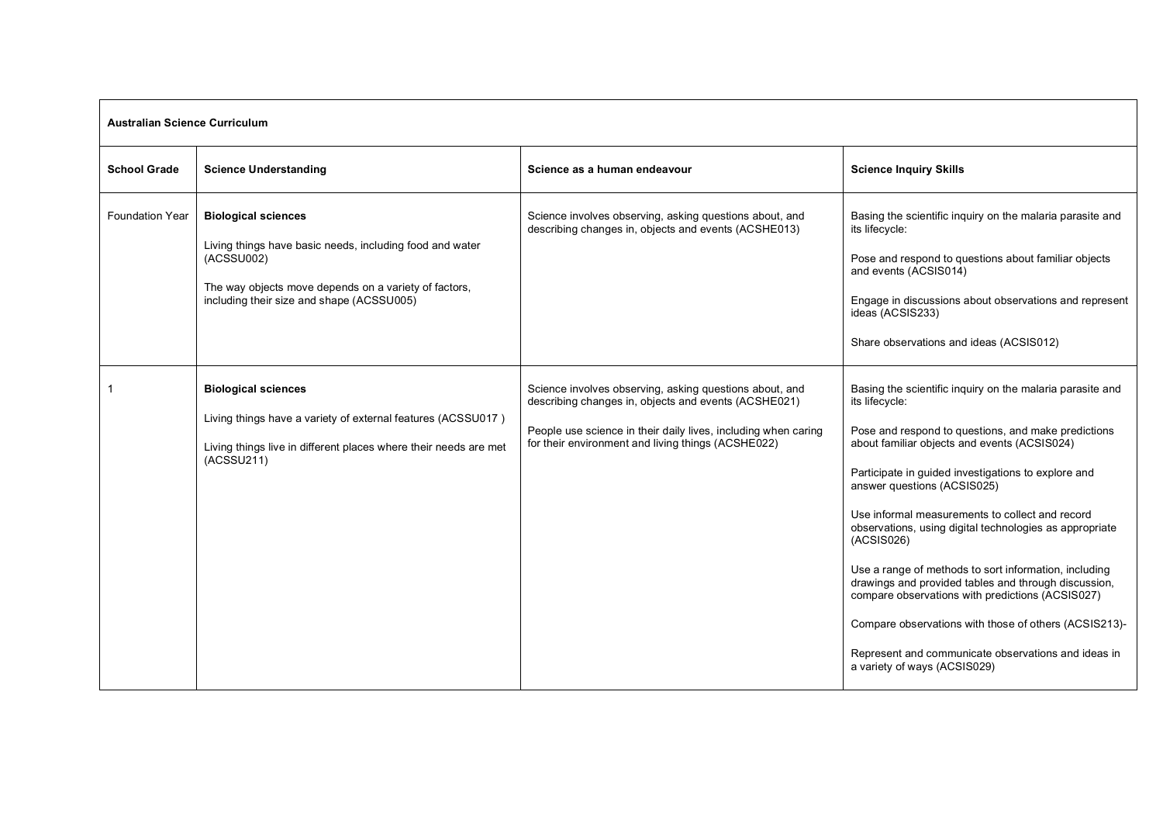| <b>Australian Science Curriculum</b> |                                                                                                                                                                                                            |                                                                                                                                                                                                                                         |                                                                                                                                                                                                                                                                                                                                                                                                                                                                                                                                                                                                                                                                                                                           |
|--------------------------------------|------------------------------------------------------------------------------------------------------------------------------------------------------------------------------------------------------------|-----------------------------------------------------------------------------------------------------------------------------------------------------------------------------------------------------------------------------------------|---------------------------------------------------------------------------------------------------------------------------------------------------------------------------------------------------------------------------------------------------------------------------------------------------------------------------------------------------------------------------------------------------------------------------------------------------------------------------------------------------------------------------------------------------------------------------------------------------------------------------------------------------------------------------------------------------------------------------|
| <b>School Grade</b>                  | <b>Science Understanding</b>                                                                                                                                                                               | Science as a human endeavour                                                                                                                                                                                                            | <b>Science Inquiry Skills</b>                                                                                                                                                                                                                                                                                                                                                                                                                                                                                                                                                                                                                                                                                             |
| <b>Foundation Year</b>               | <b>Biological sciences</b><br>Living things have basic needs, including food and water<br>(ACSSU002)<br>The way objects move depends on a variety of factors,<br>including their size and shape (ACSSU005) | Science involves observing, asking questions about, and<br>describing changes in, objects and events (ACSHE013)                                                                                                                         | Basing the scientific inquiry on the malaria parasite and<br>its lifecycle:<br>Pose and respond to questions about familiar objects<br>and events (ACSIS014)<br>Engage in discussions about observations and represent<br>ideas (ACSIS233)<br>Share observations and ideas (ACSIS012)                                                                                                                                                                                                                                                                                                                                                                                                                                     |
|                                      | <b>Biological sciences</b><br>Living things have a variety of external features (ACSSU017)<br>Living things live in different places where their needs are met<br>(ACSSU211)                               | Science involves observing, asking questions about, and<br>describing changes in, objects and events (ACSHE021)<br>People use science in their daily lives, including when caring<br>for their environment and living things (ACSHE022) | Basing the scientific inquiry on the malaria parasite and<br>its lifecycle:<br>Pose and respond to questions, and make predictions<br>about familiar objects and events (ACSIS024)<br>Participate in guided investigations to explore and<br>answer questions (ACSIS025)<br>Use informal measurements to collect and record<br>observations, using digital technologies as appropriate<br>(ACSIS026)<br>Use a range of methods to sort information, including<br>drawings and provided tables and through discussion,<br>compare observations with predictions (ACSIS027)<br>Compare observations with those of others (ACSIS213)-<br>Represent and communicate observations and ideas in<br>a variety of ways (ACSIS029) |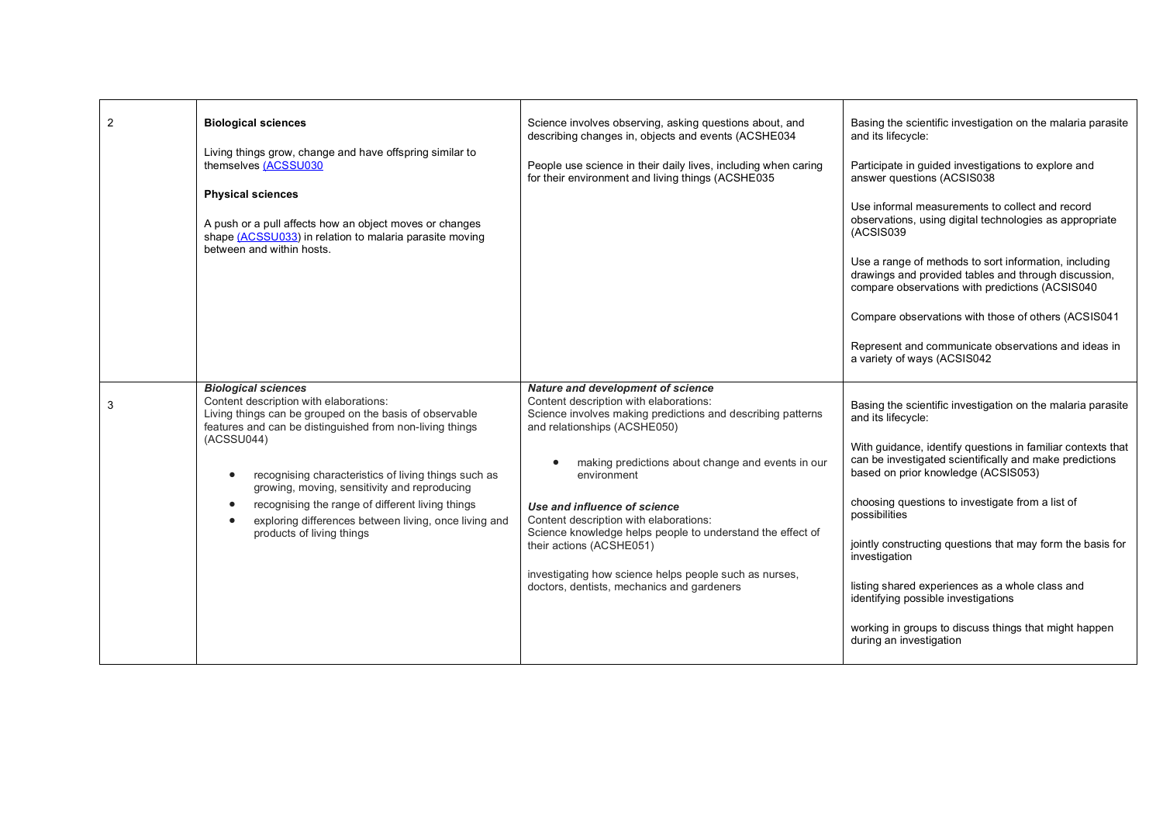| 2 | <b>Biological sciences</b><br>Living things grow, change and have offspring similar to<br>themselves (ACSSU030<br><b>Physical sciences</b><br>A push or a pull affects how an object moves or changes<br>shape (ACSSU033) in relation to malaria parasite moving<br>between and within hosts.                                                                                                                                                                                                      | Science involves observing, asking questions about, and<br>describing changes in, objects and events (ACSHE034<br>People use science in their daily lives, including when caring<br>for their environment and living things (ACSHE035                                                                                                                                                                                                                                                                                      | Basing the scientific investigation on the malaria parasite<br>and its lifecycle:<br>Participate in guided investigations to explore and<br>answer questions (ACSIS038<br>Use informal measurements to collect and record<br>observations, using digital technologies as appropriate<br>(ACSIS039<br>Use a range of methods to sort information, including<br>drawings and provided tables and through discussion,<br>compare observations with predictions (ACSIS040<br>Compare observations with those of others (ACSIS041<br>Represent and communicate observations and ideas in<br>a variety of ways (ACSIS042 |
|---|----------------------------------------------------------------------------------------------------------------------------------------------------------------------------------------------------------------------------------------------------------------------------------------------------------------------------------------------------------------------------------------------------------------------------------------------------------------------------------------------------|----------------------------------------------------------------------------------------------------------------------------------------------------------------------------------------------------------------------------------------------------------------------------------------------------------------------------------------------------------------------------------------------------------------------------------------------------------------------------------------------------------------------------|--------------------------------------------------------------------------------------------------------------------------------------------------------------------------------------------------------------------------------------------------------------------------------------------------------------------------------------------------------------------------------------------------------------------------------------------------------------------------------------------------------------------------------------------------------------------------------------------------------------------|
| 3 | <b>Biological sciences</b><br>Content description with elaborations:<br>Living things can be grouped on the basis of observable<br>features and can be distinguished from non-living things<br>(ACSSU044)<br>recognising characteristics of living things such as<br>$\bullet$<br>growing, moving, sensitivity and reproducing<br>recognising the range of different living things<br>$\bullet$<br>exploring differences between living, once living and<br>$\bullet$<br>products of living things | Nature and development of science<br>Content description with elaborations:<br>Science involves making predictions and describing patterns<br>and relationships (ACSHE050)<br>making predictions about change and events in our<br>environment<br>Use and influence of science<br>Content description with elaborations:<br>Science knowledge helps people to understand the effect of<br>their actions (ACSHE051)<br>investigating how science helps people such as nurses,<br>doctors, dentists, mechanics and gardeners | Basing the scientific investigation on the malaria parasite<br>and its lifecycle:<br>With quidance, identify questions in familiar contexts that<br>can be investigated scientifically and make predictions<br>based on prior knowledge (ACSIS053)<br>choosing questions to investigate from a list of<br>possibilities<br>jointly constructing questions that may form the basis for<br>investigation<br>listing shared experiences as a whole class and<br>identifying possible investigations<br>working in groups to discuss things that might happen<br>during an investigation                               |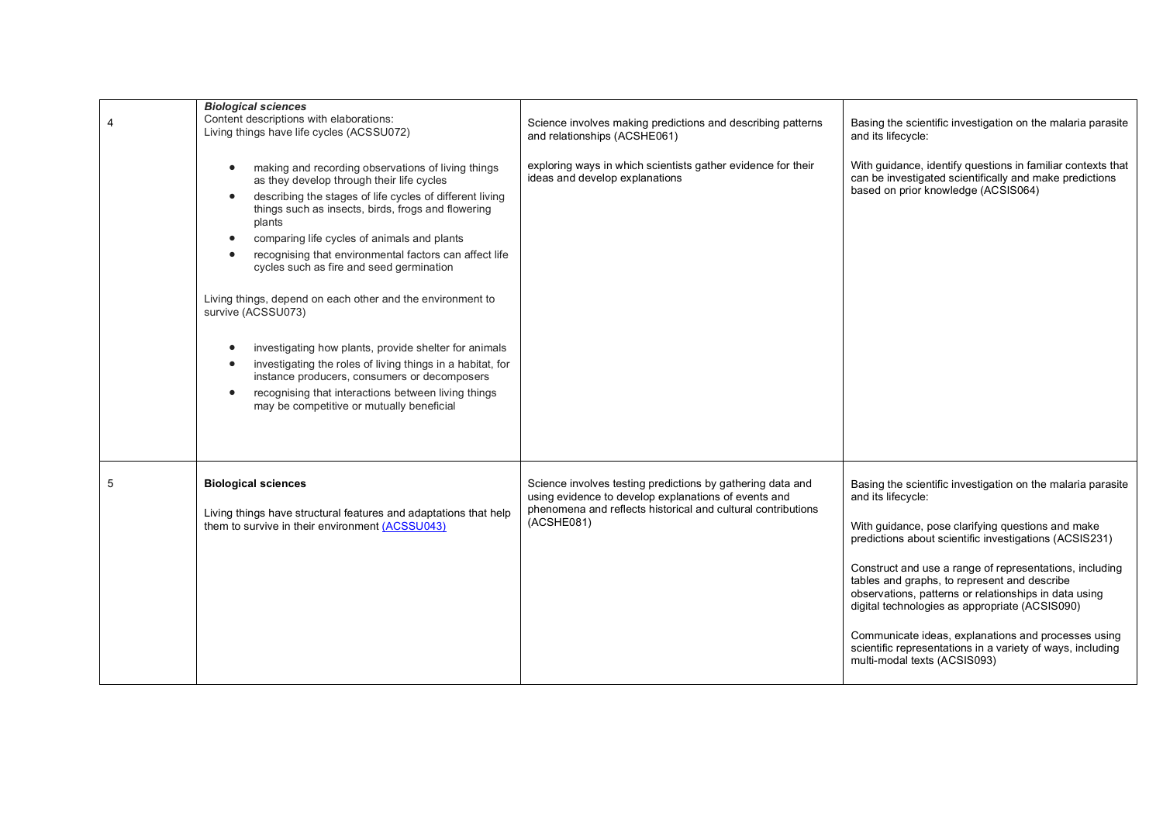|   | <b>Biological sciences</b>                                                                                                                                                                                                                                                                                                                                                                                                                                                                                                                                                                                                                                                                                                                                                                          |                                                                                                                                                                                                  |                                                                                                                                                                                                                                                                                                                                                                                                                                                                                                                                                                             |
|---|-----------------------------------------------------------------------------------------------------------------------------------------------------------------------------------------------------------------------------------------------------------------------------------------------------------------------------------------------------------------------------------------------------------------------------------------------------------------------------------------------------------------------------------------------------------------------------------------------------------------------------------------------------------------------------------------------------------------------------------------------------------------------------------------------------|--------------------------------------------------------------------------------------------------------------------------------------------------------------------------------------------------|-----------------------------------------------------------------------------------------------------------------------------------------------------------------------------------------------------------------------------------------------------------------------------------------------------------------------------------------------------------------------------------------------------------------------------------------------------------------------------------------------------------------------------------------------------------------------------|
|   | Content descriptions with elaborations:<br>Living things have life cycles (ACSSU072)                                                                                                                                                                                                                                                                                                                                                                                                                                                                                                                                                                                                                                                                                                                | Science involves making predictions and describing patterns<br>and relationships (ACSHE061)                                                                                                      | Basing the scientific investigation on the malaria parasite<br>and its lifecycle:                                                                                                                                                                                                                                                                                                                                                                                                                                                                                           |
|   | making and recording observations of living things<br>$\bullet$<br>as they develop through their life cycles<br>describing the stages of life cycles of different living<br>things such as insects, birds, frogs and flowering<br>plants<br>comparing life cycles of animals and plants<br>$\bullet$<br>recognising that environmental factors can affect life<br>$\bullet$<br>cycles such as fire and seed germination<br>Living things, depend on each other and the environment to<br>survive (ACSSU073)<br>investigating how plants, provide shelter for animals<br>$\bullet$<br>investigating the roles of living things in a habitat, for<br>instance producers, consumers or decomposers<br>recognising that interactions between living things<br>may be competitive or mutually beneficial | exploring ways in which scientists gather evidence for their<br>ideas and develop explanations                                                                                                   | With guidance, identify questions in familiar contexts that<br>can be investigated scientifically and make predictions<br>based on prior knowledge (ACSIS064)                                                                                                                                                                                                                                                                                                                                                                                                               |
| 5 | <b>Biological sciences</b><br>Living things have structural features and adaptations that help<br>them to survive in their environment (ACSSU043)                                                                                                                                                                                                                                                                                                                                                                                                                                                                                                                                                                                                                                                   | Science involves testing predictions by gathering data and<br>using evidence to develop explanations of events and<br>phenomena and reflects historical and cultural contributions<br>(ACSHE081) | Basing the scientific investigation on the malaria parasite<br>and its lifecycle:<br>With guidance, pose clarifying questions and make<br>predictions about scientific investigations (ACSIS231)<br>Construct and use a range of representations, including<br>tables and graphs, to represent and describe<br>observations, patterns or relationships in data using<br>digital technologies as appropriate (ACSIS090)<br>Communicate ideas, explanations and processes using<br>scientific representations in a variety of ways, including<br>multi-modal texts (ACSIS093) |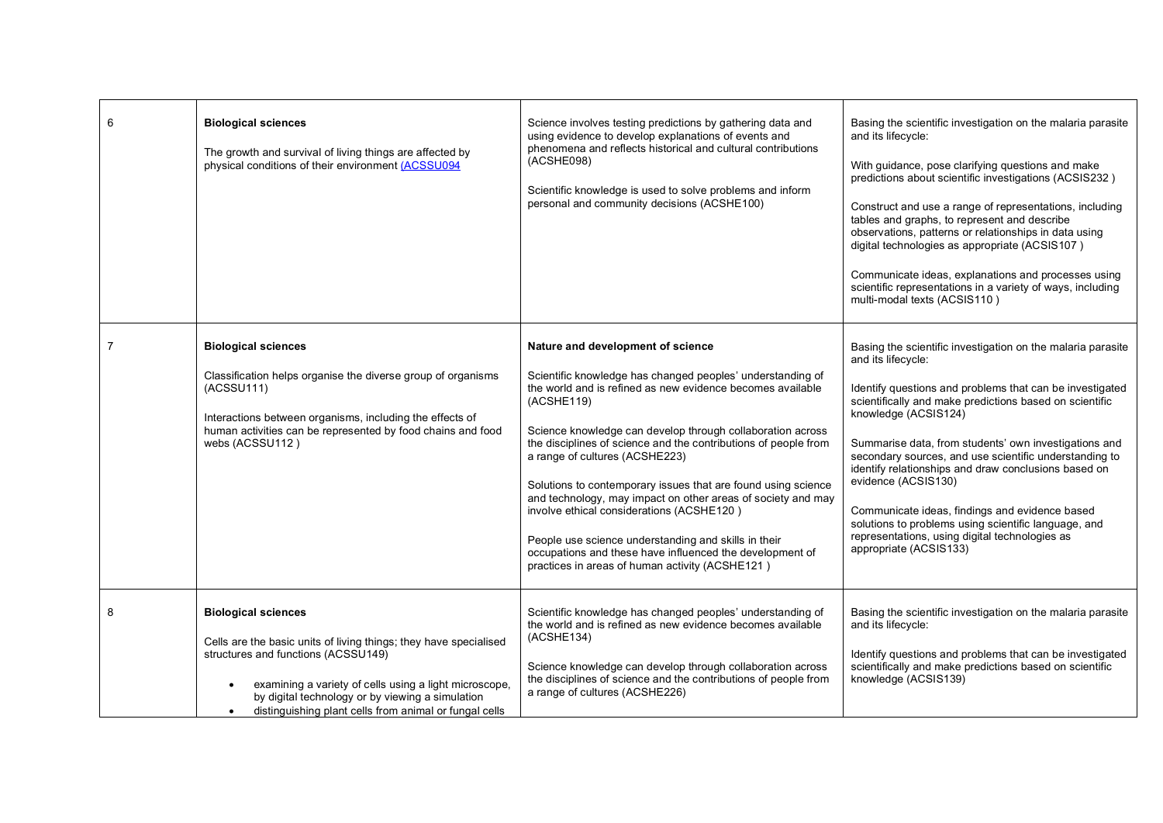| 6 | <b>Biological sciences</b><br>The growth and survival of living things are affected by<br>physical conditions of their environment (ACSSU094                                                                                                                                                                                             | Science involves testing predictions by gathering data and<br>using evidence to develop explanations of events and<br>phenomena and reflects historical and cultural contributions<br>(ACSHE098)<br>Scientific knowledge is used to solve problems and inform<br>personal and community decisions (ACSHE100)                                                                                                                                                                                                                                                                                                                                                                                        | Basing the scientific investigation on the malaria parasite<br>and its lifecycle:<br>With guidance, pose clarifying questions and make<br>predictions about scientific investigations (ACSIS232)<br>Construct and use a range of representations, including<br>tables and graphs, to represent and describe<br>observations, patterns or relationships in data using<br>digital technologies as appropriate (ACSIS107)<br>Communicate ideas, explanations and processes using<br>scientific representations in a variety of ways, including<br>multi-modal texts (ACSIS110)                                              |
|---|------------------------------------------------------------------------------------------------------------------------------------------------------------------------------------------------------------------------------------------------------------------------------------------------------------------------------------------|-----------------------------------------------------------------------------------------------------------------------------------------------------------------------------------------------------------------------------------------------------------------------------------------------------------------------------------------------------------------------------------------------------------------------------------------------------------------------------------------------------------------------------------------------------------------------------------------------------------------------------------------------------------------------------------------------------|--------------------------------------------------------------------------------------------------------------------------------------------------------------------------------------------------------------------------------------------------------------------------------------------------------------------------------------------------------------------------------------------------------------------------------------------------------------------------------------------------------------------------------------------------------------------------------------------------------------------------|
|   | <b>Biological sciences</b><br>Classification helps organise the diverse group of organisms<br>(ACSSU111)<br>Interactions between organisms, including the effects of<br>human activities can be represented by food chains and food<br>webs (ACSSU112)                                                                                   | Nature and development of science<br>Scientific knowledge has changed peoples' understanding of<br>the world and is refined as new evidence becomes available<br>(ACSHE119)<br>Science knowledge can develop through collaboration across<br>the disciplines of science and the contributions of people from<br>a range of cultures (ACSHE223)<br>Solutions to contemporary issues that are found using science<br>and technology, may impact on other areas of society and may<br>involve ethical considerations (ACSHE120)<br>People use science understanding and skills in their<br>occupations and these have influenced the development of<br>practices in areas of human activity (ACSHE121) | Basing the scientific investigation on the malaria parasite<br>and its lifecycle:<br>Identify questions and problems that can be investigated<br>scientifically and make predictions based on scientific<br>knowledge (ACSIS124)<br>Summarise data, from students' own investigations and<br>secondary sources, and use scientific understanding to<br>identify relationships and draw conclusions based on<br>evidence (ACSIS130)<br>Communicate ideas, findings and evidence based<br>solutions to problems using scientific language, and<br>representations, using digital technologies as<br>appropriate (ACSIS133) |
| 8 | <b>Biological sciences</b><br>Cells are the basic units of living things; they have specialised<br>structures and functions (ACSSU149)<br>examining a variety of cells using a light microscope,<br>$\bullet$<br>by digital technology or by viewing a simulation<br>distinguishing plant cells from animal or fungal cells<br>$\bullet$ | Scientific knowledge has changed peoples' understanding of<br>the world and is refined as new evidence becomes available<br>(ACSHE134)<br>Science knowledge can develop through collaboration across<br>the disciplines of science and the contributions of people from<br>a range of cultures (ACSHE226)                                                                                                                                                                                                                                                                                                                                                                                           | Basing the scientific investigation on the malaria parasite<br>and its lifecycle:<br>Identify questions and problems that can be investigated<br>scientifically and make predictions based on scientific<br>knowledge (ACSIS139)                                                                                                                                                                                                                                                                                                                                                                                         |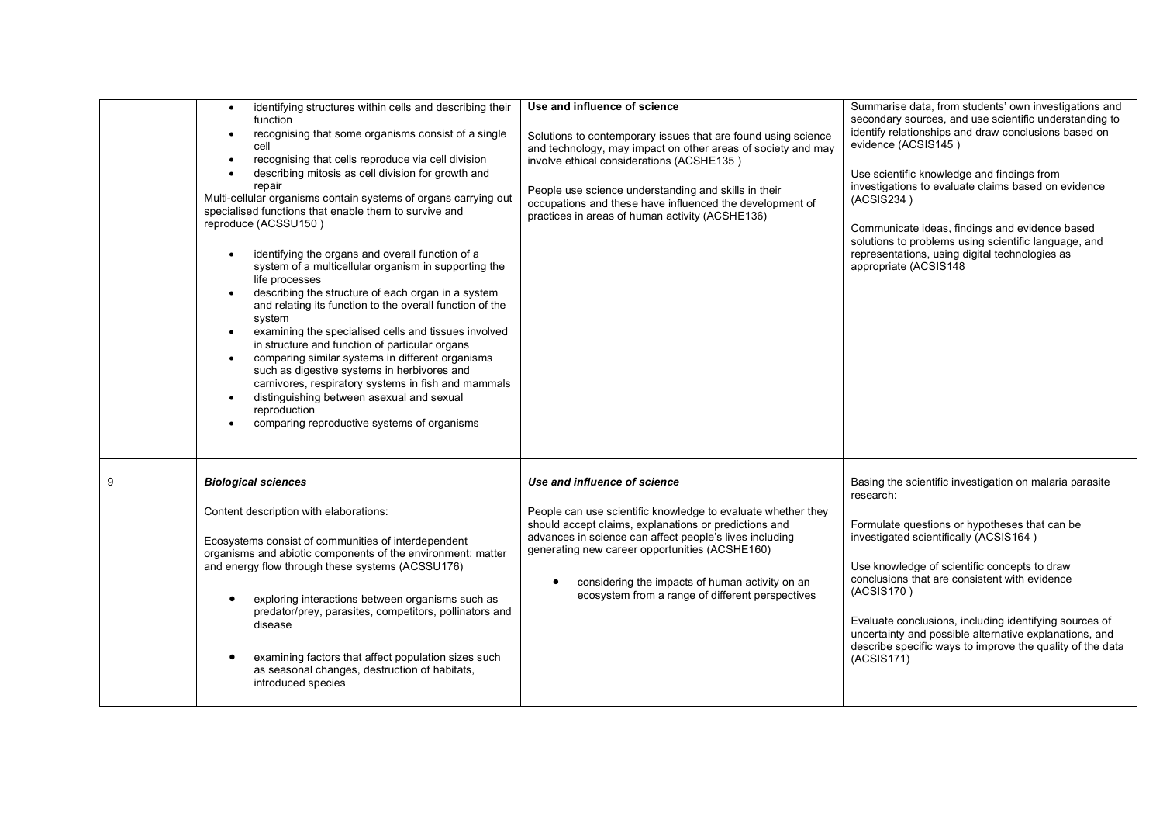| identifying structures within cells and describing their<br>$\bullet$<br>function<br>recognising that some organisms consist of a single<br>$\bullet$<br>cell<br>recognising that cells reproduce via cell division<br>$\bullet$<br>describing mitosis as cell division for growth and<br>$\bullet$<br>repair<br>Multi-cellular organisms contain systems of organs carrying out<br>specialised functions that enable them to survive and<br>reproduce (ACSSU150)<br>identifying the organs and overall function of a<br>$\bullet$<br>system of a multicellular organism in supporting the<br>life processes<br>describing the structure of each organ in a system<br>and relating its function to the overall function of the<br>system<br>examining the specialised cells and tissues involved<br>in structure and function of particular organs<br>comparing similar systems in different organisms<br>such as digestive systems in herbivores and<br>carnivores, respiratory systems in fish and mammals<br>distinguishing between asexual and sexual<br>reproduction<br>comparing reproductive systems of organisms | Use and influence of science<br>Solutions to contemporary issues that are found using science<br>and technology, may impact on other areas of society and may<br>involve ethical considerations (ACSHE135)<br>People use science understanding and skills in their<br>occupations and these have influenced the development of<br>practices in areas of human activity (ACSHE136) | Summarise data, from students' own investigations and<br>secondary sources, and use scientific understanding to<br>identify relationships and draw conclusions based on<br>evidence (ACSIS145)<br>Use scientific knowledge and findings from<br>investigations to evaluate claims based on evidence<br>(ACSIS234)<br>Communicate ideas, findings and evidence based<br>solutions to problems using scientific language, and<br>representations, using digital technologies as<br>appropriate (ACSIS148 |
|--------------------------------------------------------------------------------------------------------------------------------------------------------------------------------------------------------------------------------------------------------------------------------------------------------------------------------------------------------------------------------------------------------------------------------------------------------------------------------------------------------------------------------------------------------------------------------------------------------------------------------------------------------------------------------------------------------------------------------------------------------------------------------------------------------------------------------------------------------------------------------------------------------------------------------------------------------------------------------------------------------------------------------------------------------------------------------------------------------------------------|-----------------------------------------------------------------------------------------------------------------------------------------------------------------------------------------------------------------------------------------------------------------------------------------------------------------------------------------------------------------------------------|--------------------------------------------------------------------------------------------------------------------------------------------------------------------------------------------------------------------------------------------------------------------------------------------------------------------------------------------------------------------------------------------------------------------------------------------------------------------------------------------------------|
| <b>Biological sciences</b><br>Content description with elaborations:<br>Ecosystems consist of communities of interdependent<br>organisms and abiotic components of the environment; matter<br>and energy flow through these systems (ACSSU176)<br>exploring interactions between organisms such as<br>predator/prey, parasites, competitors, pollinators and<br>disease<br>examining factors that affect population sizes such<br>as seasonal changes, destruction of habitats,<br>introduced species                                                                                                                                                                                                                                                                                                                                                                                                                                                                                                                                                                                                                    | Use and influence of science<br>People can use scientific knowledge to evaluate whether they<br>should accept claims, explanations or predictions and<br>advances in science can affect people's lives including<br>generating new career opportunities (ACSHE160)<br>considering the impacts of human activity on an<br>ecosystem from a range of different perspectives         | Basing the scientific investigation on malaria parasite<br>research:<br>Formulate questions or hypotheses that can be<br>investigated scientifically (ACSIS164)<br>Use knowledge of scientific concepts to draw<br>conclusions that are consistent with evidence<br>(ACSIS170)<br>Evaluate conclusions, including identifying sources of<br>uncertainty and possible alternative explanations, and<br>describe specific ways to improve the quality of the data<br>(ACSIS171)                          |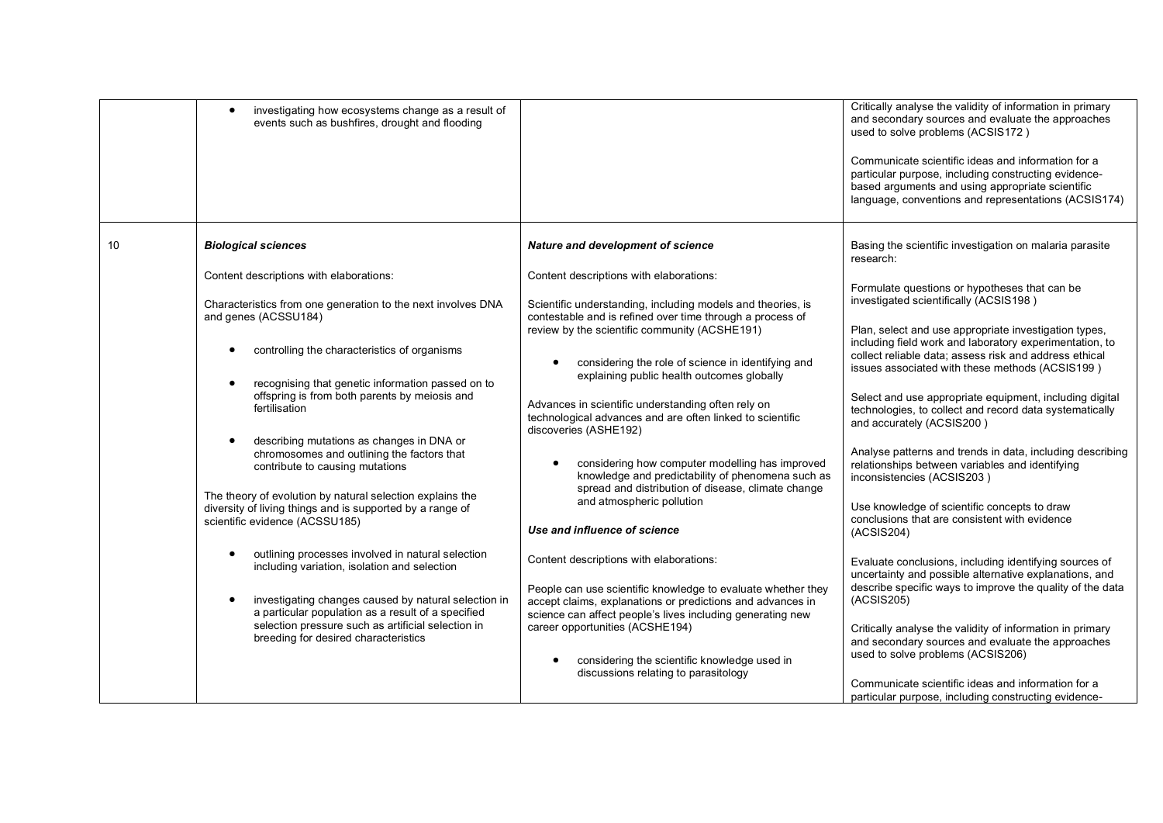|    | investigating how ecosystems change as a result of<br>$\bullet$<br>events such as bushfires, drought and flooding                                        |                                                                                                                                                                                          | Critically analyse the validity of information in primary<br>and secondary sources and evaluate the approaches<br>used to solve problems (ACSIS172)<br>Communicate scientific ideas and information for a<br>particular purpose, including constructing evidence-<br>based arguments and using appropriate scientific<br>language, conventions and representations (ACSIS174) |
|----|----------------------------------------------------------------------------------------------------------------------------------------------------------|------------------------------------------------------------------------------------------------------------------------------------------------------------------------------------------|-------------------------------------------------------------------------------------------------------------------------------------------------------------------------------------------------------------------------------------------------------------------------------------------------------------------------------------------------------------------------------|
| 10 | <b>Biological sciences</b>                                                                                                                               | Nature and development of science                                                                                                                                                        | Basing the scientific investigation on malaria parasite<br>research:                                                                                                                                                                                                                                                                                                          |
|    | Content descriptions with elaborations:                                                                                                                  | Content descriptions with elaborations:                                                                                                                                                  |                                                                                                                                                                                                                                                                                                                                                                               |
|    | Characteristics from one generation to the next involves DNA<br>and genes (ACSSU184)                                                                     | Scientific understanding, including models and theories, is<br>contestable and is refined over time through a process of<br>review by the scientific community (ACSHE191)                | Formulate questions or hypotheses that can be<br>investigated scientifically (ACSIS198)<br>Plan, select and use appropriate investigation types,                                                                                                                                                                                                                              |
|    | controlling the characteristics of organisms                                                                                                             | considering the role of science in identifying and<br>explaining public health outcomes globally                                                                                         | including field work and laboratory experimentation, to<br>collect reliable data; assess risk and address ethical<br>issues associated with these methods (ACSIS199)                                                                                                                                                                                                          |
|    | recognising that genetic information passed on to<br>offspring is from both parents by meiosis and<br>fertilisation                                      | Advances in scientific understanding often rely on<br>technological advances and are often linked to scientific<br>discoveries (ASHE192)                                                 | Select and use appropriate equipment, including digital<br>technologies, to collect and record data systematically<br>and accurately (ACSIS200)                                                                                                                                                                                                                               |
|    | describing mutations as changes in DNA or<br>chromosomes and outlining the factors that<br>contribute to causing mutations                               | considering how computer modelling has improved<br>knowledge and predictability of phenomena such as<br>spread and distribution of disease, climate change                               | Analyse patterns and trends in data, including describing<br>relationships between variables and identifying<br>inconsistencies (ACSIS203)                                                                                                                                                                                                                                    |
|    | The theory of evolution by natural selection explains the<br>diversity of living things and is supported by a range of<br>scientific evidence (ACSSU185) | and atmospheric pollution<br>Use and influence of science                                                                                                                                | Use knowledge of scientific concepts to draw<br>conclusions that are consistent with evidence<br>(ACSIS204)                                                                                                                                                                                                                                                                   |
|    | outlining processes involved in natural selection<br>including variation, isolation and selection                                                        | Content descriptions with elaborations:                                                                                                                                                  | Evaluate conclusions, including identifying sources of<br>uncertainty and possible alternative explanations, and                                                                                                                                                                                                                                                              |
|    | investigating changes caused by natural selection in<br>a particular population as a result of a specified                                               | People can use scientific knowledge to evaluate whether they<br>accept claims, explanations or predictions and advances in<br>science can affect people's lives including generating new | describe specific ways to improve the quality of the data<br>(ACSIS205)                                                                                                                                                                                                                                                                                                       |
|    | selection pressure such as artificial selection in<br>breeding for desired characteristics                                                               | career opportunities (ACSHE194)                                                                                                                                                          | Critically analyse the validity of information in primary<br>and secondary sources and evaluate the approaches<br>used to solve problems (ACSIS206)                                                                                                                                                                                                                           |
|    |                                                                                                                                                          | considering the scientific knowledge used in<br>discussions relating to parasitology                                                                                                     | Communicate scientific ideas and information for a                                                                                                                                                                                                                                                                                                                            |
|    |                                                                                                                                                          |                                                                                                                                                                                          | particular purpose, including constructing evidence-                                                                                                                                                                                                                                                                                                                          |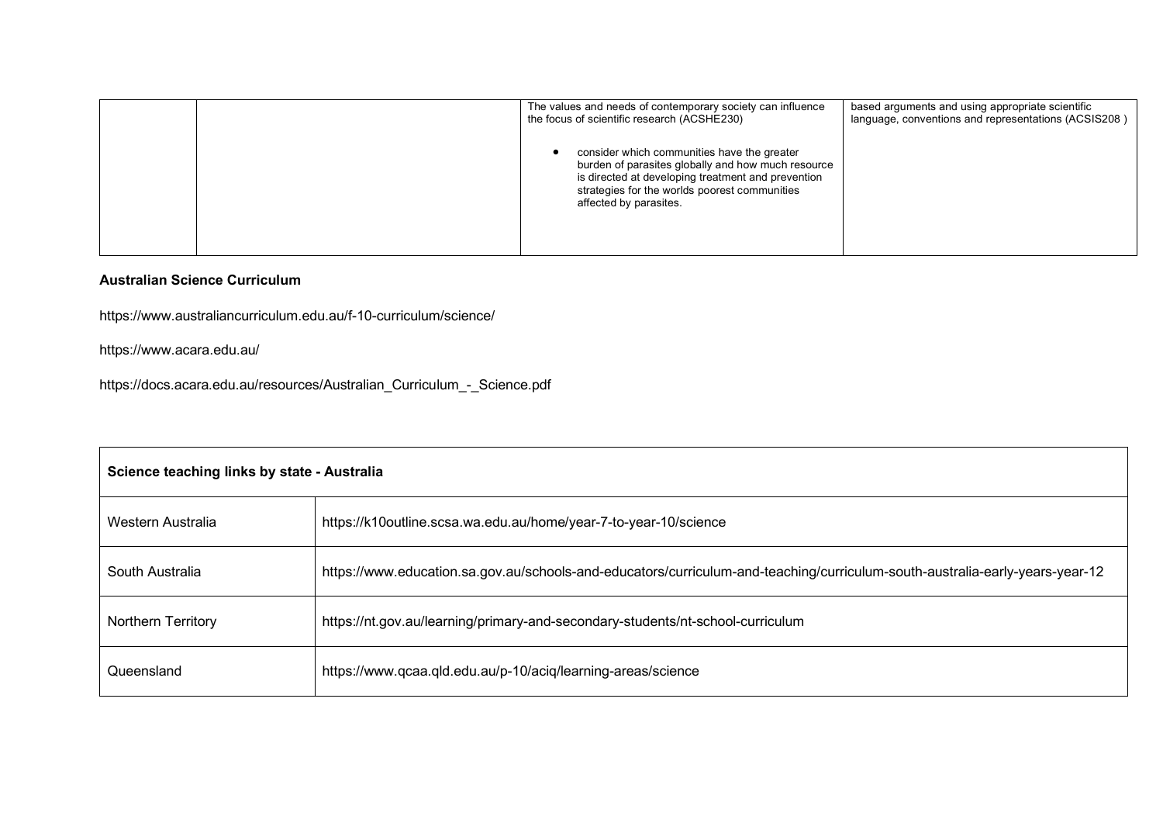|  | The values and needs of contemporary society can influence<br>the focus of scientific research (ACSHE230)                                                                                                                          | based arguments and using appropriate scientific<br>language, conventions and representations (ACSIS208) |
|--|------------------------------------------------------------------------------------------------------------------------------------------------------------------------------------------------------------------------------------|----------------------------------------------------------------------------------------------------------|
|  | consider which communities have the greater<br>burden of parasites globally and how much resource<br>is directed at developing treatment and prevention<br>strategies for the worlds poorest communities<br>affected by parasites. |                                                                                                          |

## **Australian Science Curriculum**

https://www.australiancurriculum.edu.au/f-10-curriculum/science/

https://www.acara.edu.au/

https://docs.acara.edu.au/resources/Australian\_Curriculum\_-\_Science.pdf

| Science teaching links by state - Australia |                                                                                                                              |  |
|---------------------------------------------|------------------------------------------------------------------------------------------------------------------------------|--|
| Western Australia                           | https://k10outline.scsa.wa.edu.au/home/year-7-to-year-10/science                                                             |  |
| South Australia                             | https://www.education.sa.gov.au/schools-and-educators/curriculum-and-teaching/curriculum-south-australia-early-years-year-12 |  |
| Northern Territory                          | https://nt.gov.au/learning/primary-and-secondary-students/nt-school-curriculum                                               |  |
| Queensland                                  | https://www.qcaa.qld.edu.au/p-10/aciq/learning-areas/science                                                                 |  |